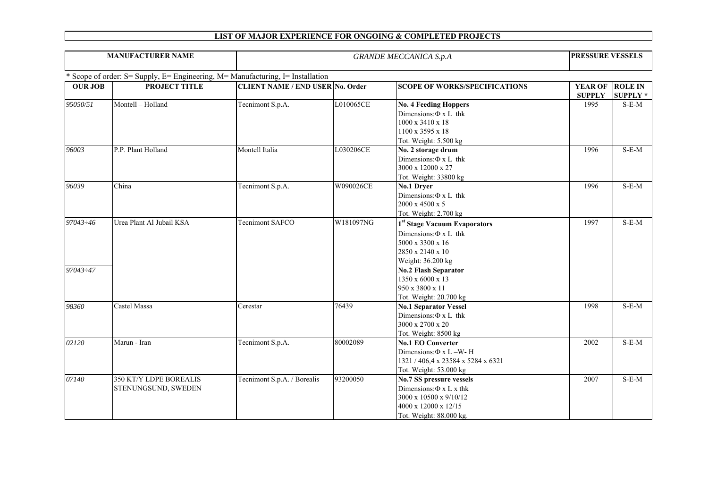| <b>MANUFACTURER NAME</b> |                                                                                |                                         | <b>PRESSURE VESSELS</b> |                                                                                                                                                                                                                                     |                                 |                                   |
|--------------------------|--------------------------------------------------------------------------------|-----------------------------------------|-------------------------|-------------------------------------------------------------------------------------------------------------------------------------------------------------------------------------------------------------------------------------|---------------------------------|-----------------------------------|
|                          | * Scope of order: S= Supply, E= Engineering, M= Manufacturing, I= Installation |                                         |                         |                                                                                                                                                                                                                                     |                                 |                                   |
| <b>OUR JOB</b>           | <b>PROJECT TITLE</b>                                                           | <b>CLIENT NAME / END USER No. Order</b> |                         | <b>SCOPE OF WORKS/SPECIFICATIONS</b>                                                                                                                                                                                                | <b>YEAR OF</b><br><b>SUPPLY</b> | <b>ROLE IN</b><br><b>SUPPLY *</b> |
| 95050/51                 | Montell - Holland                                                              | Tecnimont S.p.A.                        | L010065CE               | <b>No. 4 Feeding Hoppers</b><br>Dimensions: $\Phi$ x L thk<br>1000 x 3410 x 18<br>1100 x 3595 x 18<br>Tot. Weight: 5.500 kg                                                                                                         | 1995                            | $S-E-M$                           |
| 96003                    | P.P. Plant Holland                                                             | Montell Italia                          | L030206CE               | No. 2 storage drum<br>Dimensions: $\Phi$ x L thk<br>3000 x 12000 x 27<br>Tot. Weight: 33800 kg                                                                                                                                      | 1996                            | $S-E-M$                           |
| 96039                    | China                                                                          | Tecnimont S.p.A.                        | W090026CE               | No.1 Dryer<br>Dimensions: $\Phi$ x L thk<br>2000 x 4500 x 5<br>Tot. Weight: 2.700 kg                                                                                                                                                | 1996                            | $S-E-M$                           |
| 97043:46<br>97043:47     | Urea Plant Al Jubail KSA                                                       | Tecnimont SAFCO                         | W181097NG               | 1 <sup>st</sup> Stage Vacuum Evaporators<br>Dimensions: $\Phi$ x L thk<br>5000 x 3300 x 16<br>2850 x 2140 x 10<br>Weight: 36.200 kg<br><b>No.2 Flash Separator</b><br>1350 x 6000 x 13<br>950 x 3800 x 11<br>Tot. Weight: 20.700 kg | 1997                            | $S-E-M$                           |
| 98360                    | Castel Massa                                                                   | Cerestar                                | 76439                   | <b>No.1 Separator Vessel</b><br>Dimensions: $\Phi$ x L thk<br>3000 x 2700 x 20<br>Tot. Weight: 8500 kg                                                                                                                              | 1998                            | $S-E-M$                           |
| 02120                    | Marun - Iran                                                                   | Tecnimont S.p.A.                        | 80002089                | <b>No.1 EO Converter</b><br>Dimensions: $\Phi$ x L –W-H<br>1321 / 406,4 x 23584 x 5284 x 6321<br>Tot. Weight: 53.000 kg                                                                                                             | 2002                            | $S-E-M$                           |
| 07140                    | 350 KT/Y LDPE BOREALIS<br>STENUNGSUND, SWEDEN                                  | Tecnimont S.p.A. / Borealis             | 93200050                | <b>No.7 SS pressure vessels</b><br>Dimensions: $\Phi$ x L x thk<br>3000 x 10500 x 9/10/12<br>4000 x 12000 x 12/15<br>Tot. Weight: 88.000 kg.                                                                                        | 2007                            | $S-E-M$                           |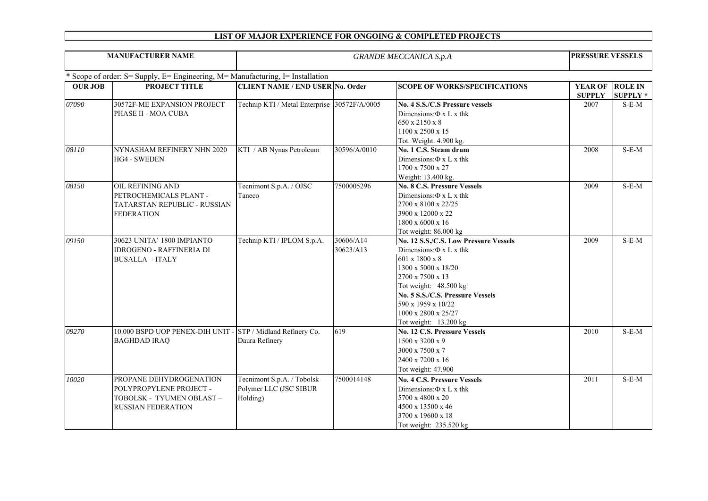| <b>MANUFACTURER NAME</b> |                                                                                |                                              | PRESSURE VESSELS |                                                           |                |                 |
|--------------------------|--------------------------------------------------------------------------------|----------------------------------------------|------------------|-----------------------------------------------------------|----------------|-----------------|
|                          | * Scope of order: S= Supply, E= Engineering, M= Manufacturing, I= Installation |                                              |                  |                                                           |                |                 |
| <b>OUR JOB</b>           | PROJECT TITLE                                                                  | <b>CLIENT NAME / END USER No. Order</b>      |                  | <b>SCOPE OF WORKS/SPECIFICATIONS</b>                      | <b>YEAR OF</b> | <b>ROLE IN</b>  |
|                          |                                                                                |                                              |                  |                                                           | <b>SUPPLY</b>  | <b>SUPPLY</b> * |
| 07090                    | 30572F-ME EXPANSION PROJECT -                                                  | Technip KTI / Metal Enterprise 30572F/A/0005 |                  | No. 4 S.S./C.S Pressure vessels                           | 2007           | $S-E-M$         |
|                          | PHASE II - MOA CUBA                                                            |                                              |                  | Dimensions: $\Phi$ x L x thk                              |                |                 |
|                          |                                                                                |                                              |                  | 650 x 2150 x 8                                            |                |                 |
|                          |                                                                                |                                              |                  | 1100 x 2500 x 15                                          |                |                 |
|                          |                                                                                |                                              |                  | Tot. Weight: 4.900 kg.                                    |                |                 |
| 08110                    | NYNASHAM REFINERY NHN 2020                                                     | KTI / AB Nynas Petroleum                     | 30596/A/0010     | No. 1 C.S. Steam drum                                     | 2008           | $S-E-M$         |
|                          | <b>HG4 - SWEDEN</b>                                                            |                                              |                  | Dimensions: $\Phi$ x L x thk                              |                |                 |
|                          |                                                                                |                                              |                  | 1700 x 7500 x 27                                          |                |                 |
|                          |                                                                                |                                              |                  | Weight: 13.400 kg.                                        |                |                 |
| 08150                    | <b>OIL REFINING AND</b>                                                        | Tecnimont S.p.A. / OJSC                      | 7500005296       | <b>No. 8 C.S. Pressure Vessels</b>                        | 2009           | $S-E-M$         |
|                          | PETROCHEMICALS PLANT -                                                         | Taneco                                       |                  | Dimensions: $\Phi$ x L x thk                              |                |                 |
|                          | TATARSTAN REPUBLIC - RUSSIAN                                                   |                                              |                  | 2700 x 8100 x 22/25                                       |                |                 |
|                          | <b>FEDERATION</b>                                                              |                                              |                  | 3900 x 12000 x 22                                         |                |                 |
|                          |                                                                                |                                              |                  | 1800 x 6000 x 16                                          |                |                 |
|                          |                                                                                |                                              |                  | Tot weight: 86.000 kg                                     |                |                 |
| 09150                    | 30623 UNITA' 1800 IMPIANTO                                                     | Technip KTI / IPLOM S.p.A.                   | 30606/A14        | No. 12 S.S./C.S. Low Pressure Vessels                     | 2009           | $S-E-M$         |
|                          | <b>IDROGENO - RAFFINERIA DI</b>                                                |                                              | 30623/A13        | Dimensions: $\Phi$ x L x thk                              |                |                 |
|                          | <b>BUSALLA - ITALY</b>                                                         |                                              |                  | $601 \times 1800 \times 8$                                |                |                 |
|                          |                                                                                |                                              |                  | 1300 x 5000 x 18/20                                       |                |                 |
|                          |                                                                                |                                              |                  | 2700 x 7500 x 13                                          |                |                 |
|                          |                                                                                |                                              |                  | Tot weight: 48.500 kg<br>No. 5 S.S./C.S. Pressure Vessels |                |                 |
|                          |                                                                                |                                              |                  | 590 x 1959 x 10/22                                        |                |                 |
|                          |                                                                                |                                              |                  | 1000 x 2800 x 25/27                                       |                |                 |
|                          |                                                                                |                                              |                  | Tot weight: 13.200 kg                                     |                |                 |
| 09270                    | 10.000 BSPD UOP PENEX-DIH UNIT - STP / Midland Refinery Co.                    |                                              | 619              | <b>No. 12 C.S. Pressure Vessels</b>                       | 2010           | $S-E-M$         |
|                          | <b>BAGHDAD IRAO</b>                                                            | Daura Refinery                               |                  | 1500 x 3200 x 9                                           |                |                 |
|                          |                                                                                |                                              |                  | 3000 x 7500 x 7                                           |                |                 |
|                          |                                                                                |                                              |                  | 2400 x 7200 x 16                                          |                |                 |
|                          |                                                                                |                                              |                  | Tot weight: 47.900                                        |                |                 |
| 10020                    | PROPANE DEHYDROGENATION                                                        | Tecnimont S.p.A. / Tobolsk                   | 7500014148       | <b>No. 4 C.S. Pressure Vessels</b>                        | 2011           | $S-E-M$         |
|                          | POLYPROPYLENE PROJECT -                                                        | Polymer LLC (JSC SIBUR                       |                  | Dimensions: $\Phi$ x L x thk                              |                |                 |
|                          | TOBOLSK - TYUMEN OBLAST -                                                      | Holding)                                     |                  | 5700 x 4800 x 20                                          |                |                 |
|                          | <b>RUSSIAN FEDERATION</b>                                                      |                                              |                  | 4500 x 13500 x 46                                         |                |                 |
|                          |                                                                                |                                              |                  | 3700 x 19600 x 18                                         |                |                 |
|                          |                                                                                |                                              |                  | Tot weight: 235.520 kg                                    |                |                 |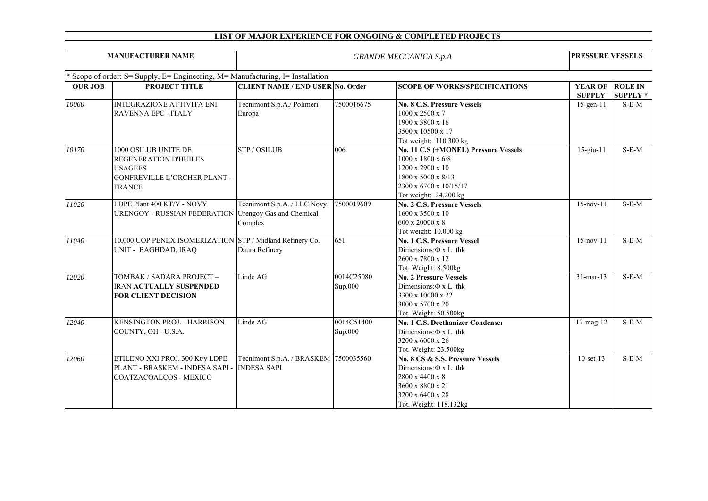| <b>MANUFACTURER NAME</b> |                                                                                                                                | <b>GRANDE MECCANICA S.p.A</b>                                      |                       |                                                                                                                                                                    |                                 | <b>PRESSURE VESSELS</b>           |  |
|--------------------------|--------------------------------------------------------------------------------------------------------------------------------|--------------------------------------------------------------------|-----------------------|--------------------------------------------------------------------------------------------------------------------------------------------------------------------|---------------------------------|-----------------------------------|--|
|                          | Scope of order: S= Supply, E= Engineering, M= Manufacturing, I= Installation                                                   |                                                                    |                       |                                                                                                                                                                    |                                 |                                   |  |
| <b>OUR JOB</b>           | PROJECT TITLE                                                                                                                  | <b>CLIENT NAME / END USER No. Order</b>                            |                       | <b>SCOPE OF WORKS/SPECIFICATIONS</b>                                                                                                                               | <b>YEAR OF</b><br><b>SUPPLY</b> | <b>ROLE IN</b><br><b>SUPPLY</b> * |  |
| 10060                    | <b>INTEGRAZIONE ATTIVITA ENI</b><br><b>RAVENNA EPC - ITALY</b>                                                                 | Tecnimont S.p.A./ Polimeri<br>Europa                               | 7500016675            | <b>No. 8 C.S. Pressure Vessels</b><br>1000 x 2500 x 7<br>1900 x 3800 x 16<br>3500 x 10500 x 17<br>Tot weight: 110.300 kg                                           | $15$ -gen- $11$                 | $S-E-M$                           |  |
| 10170                    | 1000 OSILUB UNITE DE<br><b>REGENERATION D'HUILES</b><br><b>USAGEES</b><br><b>GONFREVILLE L'ORCHER PLANT -</b><br><b>FRANCE</b> | <b>STP/OSILUB</b>                                                  | 006                   | No. 11 C.S (+MONEL) Pressure Vessels<br>$1000 \times 1800 \times 6/8$<br>1200 x 2900 x 10<br>1800 x 5000 x 8/13<br>2300 x 6700 x 10/15/17<br>Tot weight: 24.200 kg | $15$ -giu- $11$                 | $S-E-M$                           |  |
| 11020                    | LDPE Plant 400 KT/Y - NOVY<br><b>URENGOY - RUSSIAN FEDERATION</b>                                                              | Tecnimont S.p.A. / LLC Novy<br>Urengoy Gas and Chemical<br>Complex | 7500019609            | <b>No. 2 C.S. Pressure Vessels</b><br>1600 x 3500 x 10<br>$600 \times 20000 \times 8$<br>Tot weight: 10.000 kg                                                     | $15$ -nov- $11$                 | $S-E-M$                           |  |
| 11040                    | 10,000 UOP PENEX ISOMERIZATION STP / Midland Refinery Co.<br>UNIT - BAGHDAD, IRAQ                                              | Daura Refinery                                                     | 651                   | <b>No. 1 C.S. Pressure Vessel</b><br>Dimensions: $\Phi$ x L thk<br>2600 x 7800 x 12<br>Tot. Weight: 8.500kg                                                        | $15$ -nov- $11$                 | $S-E-M$                           |  |
| 12020                    | TOMBAK / SADARA PROJECT -<br><b>IRAN-ACTUALLY SUSPENDED</b><br><b>FOR CLIENT DECISION</b>                                      | Linde AG                                                           | 0014C25080<br>Sup.000 | <b>No. 2 Pressure Vessels</b><br>Dimensions: $\Phi$ x L thk<br>3300 x 10000 x 22<br>3000 x 5700 x 20<br>Tot. Weight: 50.500kg                                      | $31$ -mar-13                    | $S-E-M$                           |  |
| 12040                    | <b>KENSINGTON PROJ. - HARRISON</b><br>COUNTY, OH - U.S.A.                                                                      | Linde AG                                                           | 0014C51400<br>Sup.000 | <b>No. 1 C.S. Deethanizer Condenser</b><br>Dimensions: $\Phi$ x L thk<br>3200 x 6000 x 26<br>Tot. Weight: 23.500kg                                                 | $17$ -mag- $12$                 | $S-E-M$                           |  |
| 12060                    | ETILENO XXI PROJ. 300 Kt/y LDPE<br>PLANT - BRASKEM - INDESA SAPI -<br><b>COATZACOALCOS - MEXICO</b>                            | Tecnimont S.p.A. / BRASKEM 7500035560<br><b>INDESA SAPI</b>        |                       | No. 8 CS & S.S. Pressure Vessels<br>Dimensions: $\Phi$ x L thk<br>2800 x 4400 x 8<br>3600 x 8800 x 21<br>3200 x 6400 x 28<br>Tot. Weight: 118.132kg                | $10$ -set- $13$                 | $S-E-M$                           |  |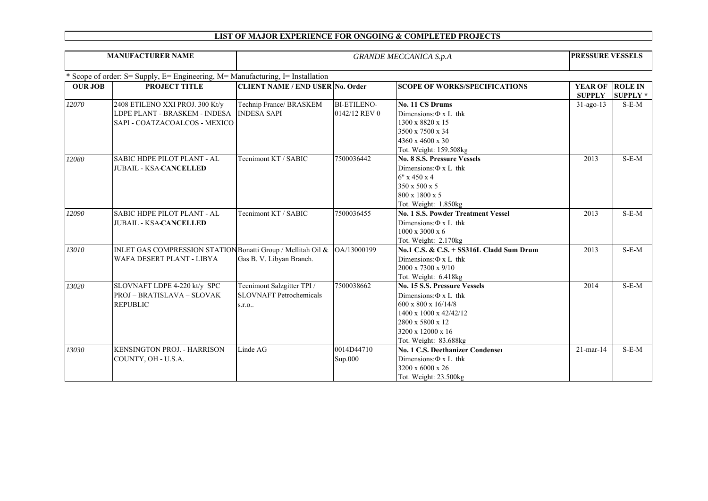| <b>MANUFACTURER NAME</b> |                                                                                                               | <b>GRANDE MECCANICA S.p.A</b>                                         |                                     |                                                                                                                                                                                                  | PRESSURE VESSELS                |                                   |
|--------------------------|---------------------------------------------------------------------------------------------------------------|-----------------------------------------------------------------------|-------------------------------------|--------------------------------------------------------------------------------------------------------------------------------------------------------------------------------------------------|---------------------------------|-----------------------------------|
|                          | * Scope of order: S= Supply, E= Engineering, M= Manufacturing, I= Installation                                |                                                                       |                                     |                                                                                                                                                                                                  |                                 |                                   |
| <b>OUR JOB</b>           | PROJECT TITLE                                                                                                 | <b>CLIENT NAME / END USER No. Order</b>                               |                                     | <b>SCOPE OF WORKS/SPECIFICATIONS</b>                                                                                                                                                             | <b>YEAR OF</b><br><b>SUPPLY</b> | <b>ROLE IN</b><br><b>SUPPLY</b> * |
| 12070                    | 2408 ETILENO XXI PROJ. 300 Kt/y<br>LDPE PLANT - BRASKEM - INDESA INDESA SAPI<br>SAPI - COATZACOALCOS - MEXICO | Technip France/ BRASKEM                                               | <b>BI-ETILENO-</b><br>0142/12 REV 0 | No. 11 CS Drums<br>Dimensions: $\Phi$ x L thk<br>1300 x 8820 x 15<br>3500 x 7500 x 34<br>4360 x 4600 x 30<br>Tot. Weight: 159.508kg                                                              | $31$ -ago-13                    | $S-E-M$                           |
| 12080                    | <b>SABIC HDPE PILOT PLANT - AL</b><br><b>JUBAIL - KSA-CANCELLED</b>                                           | Tecnimont KT / SABIC                                                  | 7500036442                          | No. 8 S.S. Pressure Vessels<br>Dimensions: $\Phi$ x L thk<br>$6''$ x 450 x 4<br>350 x 500 x 5<br>800 x 1800 x 5<br>Tot. Weight: 1.850kg                                                          | 2013                            | $S-E-M$                           |
| 12090                    | <b>SABIC HDPE PILOT PLANT - AL</b><br><b>JUBAIL - KSA-CANCELLED</b>                                           | Tecnimont KT / SABIC                                                  | 7500036455                          | <b>No. 1 S.S. Powder Treatment Vessel</b><br>Dimensions: $\Phi$ x L thk<br>$1000 \times 3000 \times 6$<br>Tot. Weight: $2.170kg$                                                                 | 2013                            | $S-E-M$                           |
| 13010                    | INLET GAS COMPRESSION STATION Bonatti Group / Mellitah Oil & 0A/13000199<br>WAFA DESERT PLANT - LIBYA         | Gas B. V. Libyan Branch.                                              |                                     | No.1 C.S. & C.S. + SS316L Cladd Sum Drum<br>Dimensions: $\Phi$ x L thk<br>2000 x 7300 x 9/10<br>Tot. Weight: 6.418kg                                                                             | 2013                            | $S-E-M$                           |
| 13020                    | SLOVNAFT LDPE 4-220 kt/y SPC<br>PROJ – BRATISLAVA – SLOVAK<br><b>REPUBLIC</b>                                 | Tecnimont Salzgitter TPI /<br><b>SLOVNAFT</b> Petrochemicals<br>s.r.o | 7500038662                          | <b>No. 15 S.S. Pressure Vessels</b><br>Dimensions: $\Phi$ x L thk<br>$600 \times 800 \times 16/14/8$<br>1400 x 1000 x 42/42/12<br>2800 x 5800 x 12<br>3200 x 12000 x 16<br>Tot. Weight: 83.688kg | 2014                            | $S-E-M$                           |
| 13030                    | <b>KENSINGTON PROJ. - HARRISON</b><br>COUNTY, OH - U.S.A.                                                     | Linde AG                                                              | 0014D44710<br>Sup.000               | <b>No. 1 C.S. Deethanizer Condenser</b><br>Dimensions: $\Phi$ x L thk<br>3200 x 6000 x 26<br>Tot. Weight: 23.500kg                                                                               | $21$ -mar-14                    | $S-E-M$                           |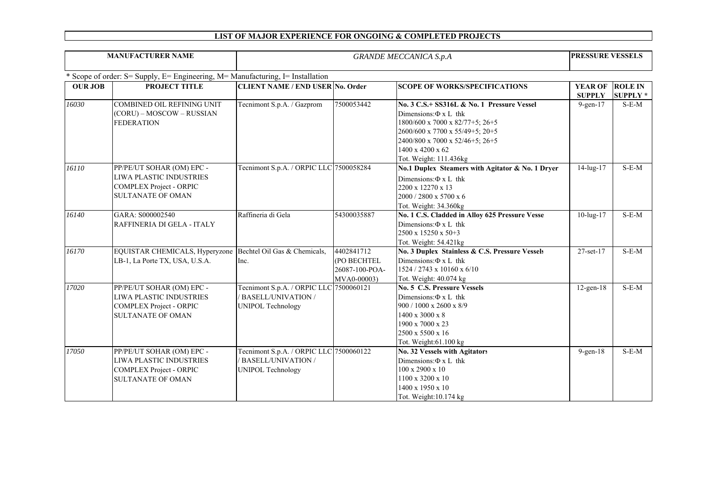| <b>MANUFACTURER NAME</b> |                                                                                                                    | <b>GRANDE MECCANICA S.p.A</b>                                                                    |                                                            |                                                                                                                                                                                                                                                |                                 | <b>PRESSURE VESSELS</b>           |  |
|--------------------------|--------------------------------------------------------------------------------------------------------------------|--------------------------------------------------------------------------------------------------|------------------------------------------------------------|------------------------------------------------------------------------------------------------------------------------------------------------------------------------------------------------------------------------------------------------|---------------------------------|-----------------------------------|--|
|                          | * Scope of order: S= Supply, E= Engineering, M= Manufacturing, I= Installation                                     |                                                                                                  |                                                            |                                                                                                                                                                                                                                                |                                 |                                   |  |
| <b>OUR JOB</b>           | <b>PROJECT TITLE</b>                                                                                               | <b>CLIENT NAME / END USER No. Order</b>                                                          |                                                            | <b>SCOPE OF WORKS/SPECIFICATIONS</b>                                                                                                                                                                                                           | <b>YEAR OF</b><br><b>SUPPLY</b> | <b>ROLE IN</b><br><b>SUPPLY</b> * |  |
| 16030                    | COMBINED OIL REFINING UNIT<br>(CORU) – MOSCOW – RUSSIAN<br><b>FEDERATION</b>                                       | Tecnimont S.p.A. / Gazprom                                                                       | 7500053442                                                 | No. 3 C.S.+ SS316L & No. 1 Pressure Vessel<br>Dimensions: $\Phi$ x L thk<br>$1800/600 \times 7000 \times 82/77 + 5$ ; 26+5<br>2600/600 x 7700 x 55/49+5; 20+5<br>2400/800 x 7000 x 52/46+5; 26+5<br>1400 x 4200 x 62<br>Tot. Weight: 111.436kg | $9$ -gen- $17$                  | $S-E-M$                           |  |
| 16110                    | PP/PE/UT SOHAR (OM) EPC -<br>LIWA PLASTIC INDUSTRIES<br>COMPLEX Project - ORPIC<br><b>SULTANATE OF OMAN</b>        | Tecnimont S.p.A. / ORPIC LLC 7500058284                                                          |                                                            | No.1 Duplex Steamers with Agitator & No. 1 Dryer<br>Dimensions: $\Phi$ x L thk<br>2200 x 12270 x 13<br>2000 / 2800 x 5700 x 6<br>Tot. Weight: 34.360kg                                                                                         | $\overline{14}$ -lug-17         | $S-E-M$                           |  |
| 16140                    | GARA: S000002540<br>RAFFINERIA DI GELA - ITALY                                                                     | Raffineria di Gela                                                                               | 54300035887                                                | No. 1 C.S. Cladded in Alloy 625 Pressure Vessel<br>Dimensions: $\Phi$ x L thk<br>2500 x 15250 x 50+3<br>Tot. Weight: 54.421kg                                                                                                                  | $10$ -lug- $17$                 | $S-E-M$                           |  |
| 16170                    | EQUISTAR CHEMICALS, Hyperyzone Bechtel Oil Gas & Chemicals,<br>LB-1, La Porte TX, USA, U.S.A.                      | Inc.                                                                                             | 4402841712<br>(PO BECHTEL<br>26087-100-POA-<br>MVA0-00003) | No. 3 Duplex Stainless & C.S. Pressure Vessels<br>Dimensions: $\Phi$ x L thk<br>1524 / 2743 x 10160 x 6/10<br>Tot. Weight: 40.074 kg                                                                                                           | 27-set-17                       | $S-E-M$                           |  |
| 17020                    | PP/PE/UT SOHAR (OM) EPC -<br>LIWA PLASTIC INDUSTRIES<br><b>COMPLEX Project - ORPIC</b><br><b>SULTANATE OF OMAN</b> | Tecnimont S.p.A. / ORPIC LLC 7500060121<br><b>BASELL/UNIVATION /</b><br><b>UNIPOL Technology</b> |                                                            | No. 5 C.S. Pressure Vessels<br>Dimensions: $\Phi$ x L thk<br>900 / 1000 x 2600 x 8/9<br>1400 x 3000 x 8<br>1900 x 7000 x 23<br>2500 x 5500 x 16<br>Tot. Weight:61.100 kg                                                                       | $12$ -gen- $18$                 | $S-E-M$                           |  |
| 17050                    | PP/PE/UT SOHAR (OM) EPC -<br>LIWA PLASTIC INDUSTRIES<br>COMPLEX Project - ORPIC<br><b>SULTANATE OF OMAN</b>        | Tecnimont S.p.A. / ORPIC LLC 7500060122<br><b>BASELL/UNIVATION /</b><br><b>UNIPOL Technology</b> |                                                            | <b>No. 32 Vessels with Agitators</b><br>Dimensions: $\Phi$ x L thk<br>$100 \times 2900 \times 10$<br>1100 x 3200 x 10<br>1400 x 1950 x 10<br>Tot. Weight:10.174 kg                                                                             | $9$ -gen- $18$                  | $S-E-M$                           |  |